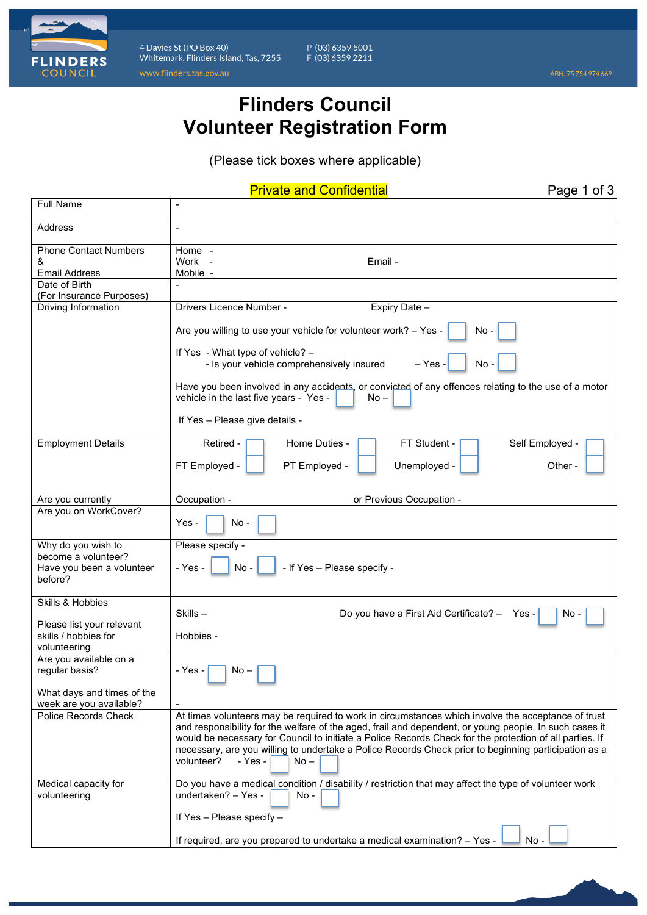

4 Davies St (PO Box 40) Whitemark, Flinders Island, Tas, 7255 www.flinders.tas.gov.au

P (03) 6359 5001<br>F (03) 6359 2211

## **Flinders Council Volunteer Registration Form**

(Please tick boxes where applicable)

Private and Confidential **Private and Confidential** 

| <b>Full Name</b>                                      |                                                                                                                                                                               |  |  |  |  |
|-------------------------------------------------------|-------------------------------------------------------------------------------------------------------------------------------------------------------------------------------|--|--|--|--|
| Address                                               | $\overline{\phantom{a}}$                                                                                                                                                      |  |  |  |  |
| <b>Phone Contact Numbers</b>                          | Home -                                                                                                                                                                        |  |  |  |  |
| &                                                     | Work -<br>Email -                                                                                                                                                             |  |  |  |  |
| <b>Email Address</b>                                  | Mobile -                                                                                                                                                                      |  |  |  |  |
| Date of Birth<br>(For Insurance Purposes)             |                                                                                                                                                                               |  |  |  |  |
| Driving Information                                   | Drivers Licence Number -<br>Expiry Date -                                                                                                                                     |  |  |  |  |
|                                                       | Are you willing to use your vehicle for volunteer work? - Yes -<br>No -<br>If Yes - What type of vehicle? -<br>- Is your vehicle comprehensively insured<br>$-$ Yes -<br>No - |  |  |  |  |
|                                                       |                                                                                                                                                                               |  |  |  |  |
|                                                       | Have you been involved in any accidents, or convicted of any offences relating to the use of a motor<br>vehicle in the last five years - Yes -<br>$No -$                      |  |  |  |  |
|                                                       | If Yes - Please give details -                                                                                                                                                |  |  |  |  |
| <b>Employment Details</b>                             | Home Duties -<br>Retired -<br>FT Student -<br>Self Employed -                                                                                                                 |  |  |  |  |
|                                                       | FT Employed -<br>PT Employed -<br>Unemployed -<br>Other -                                                                                                                     |  |  |  |  |
| Are you currently                                     | Occupation -<br>or Previous Occupation -                                                                                                                                      |  |  |  |  |
| Are you on WorkCover?                                 | Yes -<br>$No -$                                                                                                                                                               |  |  |  |  |
| Why do you wish to                                    | Please specify -                                                                                                                                                              |  |  |  |  |
| become a volunteer?                                   |                                                                                                                                                                               |  |  |  |  |
| Have you been a volunteer                             | - If Yes - Please specify -<br>- Yes -<br>$No -$                                                                                                                              |  |  |  |  |
| before?                                               |                                                                                                                                                                               |  |  |  |  |
| Skills & Hobbies                                      |                                                                                                                                                                               |  |  |  |  |
|                                                       | Skills-<br>Do you have a First Aid Certificate? - Yes -<br>No -                                                                                                               |  |  |  |  |
| Please list your relevant                             |                                                                                                                                                                               |  |  |  |  |
| skills / hobbies for                                  | Hobbies -                                                                                                                                                                     |  |  |  |  |
| volunteering                                          |                                                                                                                                                                               |  |  |  |  |
| Are you available on a                                |                                                                                                                                                                               |  |  |  |  |
| regular basis?                                        | - Yes -<br>No –                                                                                                                                                               |  |  |  |  |
| What days and times of the<br>week are you available? |                                                                                                                                                                               |  |  |  |  |
| <b>Police Records Check</b>                           | At times volunteers may be required to work in circumstances which involve the acceptance of trust                                                                            |  |  |  |  |
|                                                       | and responsibility for the welfare of the aged, frail and dependent, or young people. In such cases it                                                                        |  |  |  |  |
|                                                       | would be necessary for Council to initiate a Police Records Check for the protection of all parties. If                                                                       |  |  |  |  |
|                                                       | necessary, are you willing to undertake a Police Records Check prior to beginning participation as a                                                                          |  |  |  |  |
|                                                       | volunteer?<br>- Yes -<br>$No -$                                                                                                                                               |  |  |  |  |
| Medical capacity for<br>volunteering                  | Do you have a medical condition / disability / restriction that may affect the type of volunteer work<br>undertaken? - Yes -<br>No -                                          |  |  |  |  |
|                                                       | If Yes - Please specify -                                                                                                                                                     |  |  |  |  |
|                                                       | If required, are you prepared to undertake a medical examination? - Yes -<br>$No -$                                                                                           |  |  |  |  |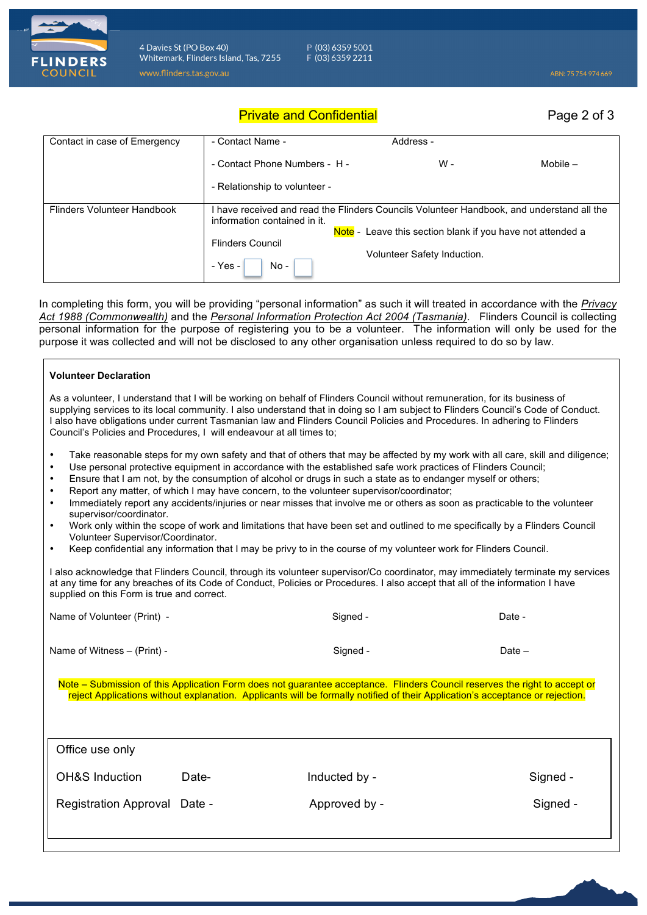

4 Davies St (PO Box 40) Whitemark, Flinders Island, Tas, 7255 www.flinders.tas.gov.au

P (03) 6359 5001 F (03) 6359 2211

Private and Confidential **Private and Confidential** 

| Contact in case of Emergency | - Contact Name -                                                                                                                                                                      | Address -                   |            |  |
|------------------------------|---------------------------------------------------------------------------------------------------------------------------------------------------------------------------------------|-----------------------------|------------|--|
|                              | - Contact Phone Numbers - H -                                                                                                                                                         | W -                         | Mobile $-$ |  |
|                              | - Relationship to volunteer -                                                                                                                                                         |                             |            |  |
| Flinders Volunteer Handbook  | have received and read the Flinders Councils Volunteer Handbook, and understand all the<br>information contained in it.<br>Note - Leave this section blank if you have not attended a |                             |            |  |
|                              |                                                                                                                                                                                       |                             |            |  |
|                              | <b>Flinders Council</b><br>- Yes -<br>$No -$                                                                                                                                          | Volunteer Safety Induction. |            |  |

In completing this form, you will be providing "personal information" as such it will treated in accordance with the *Privacy Act 1988 (Commonwealth)* and the *Personal Information Protection Act 2004 (Tasmania)*. Flinders Council is collecting personal information for the purpose of registering you to be a volunteer. The information will only be used for the purpose it was collected and will not be disclosed to any other organisation unless required to do so by law.

| <b>Volunteer Declaration</b>                                                                                                                                                                                                                                                                                                                                                                                                                                                                                                                                                                                                                                                                                                                                                                                                                                                                                                                                                                 |               |          |  |  |  |  |  |
|----------------------------------------------------------------------------------------------------------------------------------------------------------------------------------------------------------------------------------------------------------------------------------------------------------------------------------------------------------------------------------------------------------------------------------------------------------------------------------------------------------------------------------------------------------------------------------------------------------------------------------------------------------------------------------------------------------------------------------------------------------------------------------------------------------------------------------------------------------------------------------------------------------------------------------------------------------------------------------------------|---------------|----------|--|--|--|--|--|
| As a volunteer, I understand that I will be working on behalf of Flinders Council without remuneration, for its business of<br>supplying services to its local community. I also understand that in doing so I am subject to Flinders Council's Code of Conduct.<br>I also have obligations under current Tasmanian law and Flinders Council Policies and Procedures. In adhering to Flinders<br>Council's Policies and Procedures, I will endeavour at all times to;                                                                                                                                                                                                                                                                                                                                                                                                                                                                                                                        |               |          |  |  |  |  |  |
| Take reasonable steps for my own safety and that of others that may be affected by my work with all care, skill and diligence;<br>$\bullet$<br>Use personal protective equipment in accordance with the established safe work practices of Flinders Council;<br>$\bullet$<br>Ensure that I am not, by the consumption of alcohol or drugs in such a state as to endanger myself or others;<br>$\bullet$<br>Report any matter, of which I may have concern, to the volunteer supervisor/coordinator;<br>$\bullet$<br>Immediately report any accidents/injuries or near misses that involve me or others as soon as practicable to the volunteer<br>$\bullet$<br>supervisor/coordinator.<br>Work only within the scope of work and limitations that have been set and outlined to me specifically by a Flinders Council<br>$\bullet$<br>Volunteer Supervisor/Coordinator.<br>Keep confidential any information that I may be privy to in the course of my volunteer work for Flinders Council. |               |          |  |  |  |  |  |
| I also acknowledge that Flinders Council, through its volunteer supervisor/Co coordinator, may immediately terminate my services<br>at any time for any breaches of its Code of Conduct, Policies or Procedures. I also accept that all of the information I have<br>supplied on this Form is true and correct.                                                                                                                                                                                                                                                                                                                                                                                                                                                                                                                                                                                                                                                                              |               |          |  |  |  |  |  |
| Name of Volunteer (Print) -                                                                                                                                                                                                                                                                                                                                                                                                                                                                                                                                                                                                                                                                                                                                                                                                                                                                                                                                                                  | Signed -      | Date -   |  |  |  |  |  |
| Name of Witness - (Print) -                                                                                                                                                                                                                                                                                                                                                                                                                                                                                                                                                                                                                                                                                                                                                                                                                                                                                                                                                                  | Signed -      | Date $-$ |  |  |  |  |  |
| Note – Submission of this Application Form does not guarantee acceptance. Flinders Council reserves the right to accept or<br>reject Applications without explanation. Applicants will be formally notified of their Application's acceptance or rejection.                                                                                                                                                                                                                                                                                                                                                                                                                                                                                                                                                                                                                                                                                                                                  |               |          |  |  |  |  |  |
| Office use only                                                                                                                                                                                                                                                                                                                                                                                                                                                                                                                                                                                                                                                                                                                                                                                                                                                                                                                                                                              |               |          |  |  |  |  |  |
| <b>OH&amp;S Induction</b><br>Date-                                                                                                                                                                                                                                                                                                                                                                                                                                                                                                                                                                                                                                                                                                                                                                                                                                                                                                                                                           | Inducted by - | Signed - |  |  |  |  |  |
| Registration Approval Date -                                                                                                                                                                                                                                                                                                                                                                                                                                                                                                                                                                                                                                                                                                                                                                                                                                                                                                                                                                 | Approved by - | Signed - |  |  |  |  |  |